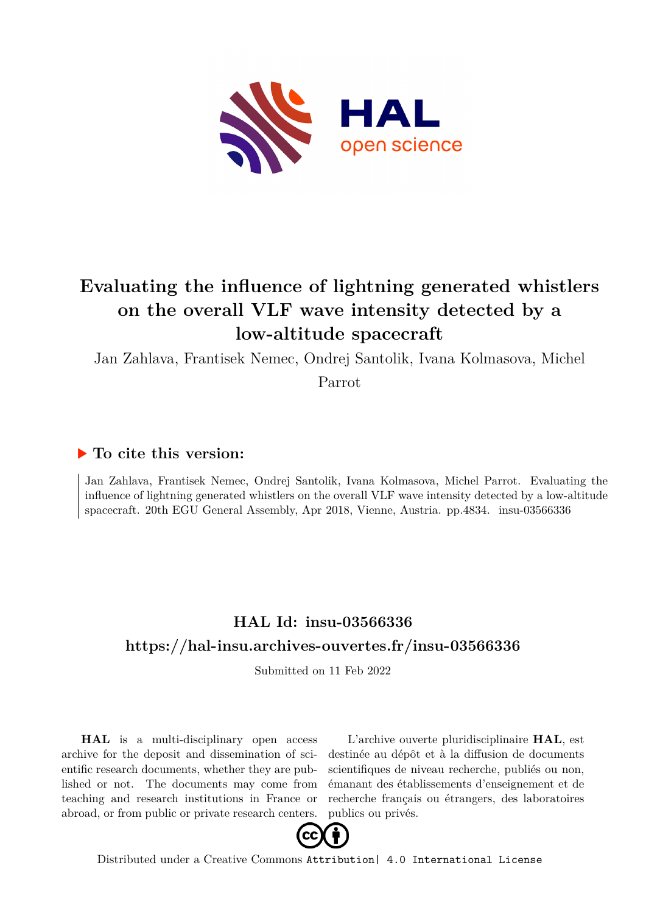

## **Evaluating the influence of lightning generated whistlers on the overall VLF wave intensity detected by a low-altitude spacecraft**

Jan Zahlava, Frantisek Nemec, Ondrej Santolik, Ivana Kolmasova, Michel

Parrot

## **To cite this version:**

Jan Zahlava, Frantisek Nemec, Ondrej Santolik, Ivana Kolmasova, Michel Parrot. Evaluating the influence of lightning generated whistlers on the overall VLF wave intensity detected by a low-altitude spacecraft. 20th EGU General Assembly, Apr 2018, Vienne, Austria. pp.4834. insu-03566336

## **HAL Id: insu-03566336 <https://hal-insu.archives-ouvertes.fr/insu-03566336>**

Submitted on 11 Feb 2022

**HAL** is a multi-disciplinary open access archive for the deposit and dissemination of scientific research documents, whether they are published or not. The documents may come from teaching and research institutions in France or abroad, or from public or private research centers.

L'archive ouverte pluridisciplinaire **HAL**, est destinée au dépôt et à la diffusion de documents scientifiques de niveau recherche, publiés ou non, émanant des établissements d'enseignement et de recherche français ou étrangers, des laboratoires publics ou privés.



Distributed under a Creative Commons [Attribution| 4.0 International License](http://creativecommons.org/licenses/by/4.0/)